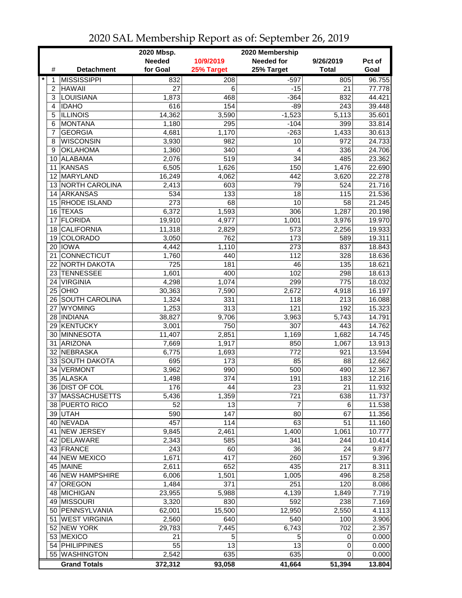|             |                      | 2020 Mbsp.       |                  | 2020 Membership   |              |        |
|-------------|----------------------|------------------|------------------|-------------------|--------------|--------|
|             |                      | <b>Needed</b>    | 10/9/2019        | <b>Needed for</b> | 9/26/2019    | Pct of |
| #           | <b>Detachment</b>    | for Goal         | 25% Target       | 25% Target        | <b>Total</b> | Goal   |
| $\ast$<br>1 | <b>MISSISSIPPI</b>   | 832              | 208              | $-597$            | 805          | 96.755 |
| 2           | <b>HAWAII</b>        | 27               | 6                | $-15$             | 21           | 77.778 |
| 3           | <b>LOUISIANA</b>     | 1,873            | 468              | $-364$            | 832          | 44.421 |
| 4           | <b>IDAHO</b>         | 616              | 154              | $-89$             | 243          | 39.448 |
| 5           | <b>ILLINOIS</b>      | 14,362           | 3,590            | $-1,523$          | 5,113        | 35.601 |
| 6           | <b>MONTANA</b>       | 1,180            | 295              | $-104$            | 399          | 33.814 |
| 7           | <b>GEORGIA</b>       | 4,681            | 1,170            | $-263$            | 1,433        | 30.613 |
| 8           | <b>WISCONSIN</b>     | 3,930            | 982              | 10                | 972          | 24.733 |
| 9           | <b>OKLAHOMA</b>      | 1,360            | 340              | 4                 | 336          | 24.706 |
|             | 10 ALABAMA           | 2,076            | 519              | 34                | 485          | 23.362 |
| 11          | KANSAS               | 6,505            | 1,626            | 150               | 1,476        | 22.690 |
|             | 12 MARYLAND          | 16,249           | 4,062            | 442               | 3,620        | 22.278 |
|             | 13 NORTH CAROLINA    | 2,413            | 603              | 79                | 524          | 21.716 |
|             | 14 ARKANSAS          | 534              | 133              | 18                | 115          | 21.536 |
|             | 15 RHODE ISLAND      | 273              | 68               | 10                | 58           | 21.245 |
|             | 16 TEXAS             | 6,372            | 1,593            | 306               | 1,287        | 20.198 |
| 17          | <b>FLORIDA</b>       | 19,910           | 4,977            | 1,001             | 3,976        | 19.970 |
| 18          | <b>CALIFORNIA</b>    | 11,318           | 2,829            | 573               | 2,256        | 19.933 |
| 19          | <b>COLORADO</b>      | 3,050            | 762              | 173               | 589          | 19.311 |
| 20          | <b>IOWA</b>          | 4,442            | 1,110            | 273               | 837          | 18.843 |
| 21          | <b>CONNECTICUT</b>   | 1,760            | 440              | 112               | 328          | 18.636 |
| 22          | <b>NORTH DAKOTA</b>  | $\overline{725}$ | 181              | 46                | 135          | 18.621 |
| 23          | <b>TENNESSEE</b>     | 1,601            | 400              | 102               | 298          | 18.613 |
| 24          | <b>VIRGINIA</b>      | 4,298            | 1,074            | 299               | 775          | 18.032 |
|             | $25$ OHIO            | 30,363           | 7,590            | 2,672             | 4,918        | 16.197 |
|             | 26 SOUTH CAROLINA    | 1,324            | 331              | 118               | 213          | 16.088 |
|             | 27 WYOMING           | 1,253            | $\overline{313}$ | 121               | 192          | 15.323 |
|             | 28  INDIANA          | 38,827           | 9,706            | 3,963             | 5,743        | 14.791 |
|             | 29 KENTUCKY          | 3,001            | 750              | 307               | 443          | 14.762 |
|             | 30 MINNESOTA         | 11,407           | 2,851            | 1,169             | 1,682        | 14.745 |
| 31          | <b>ARIZONA</b>       | 7,669            | 1,917            | 850               | 1,067        | 13.913 |
| 32          | NEBRASKA             | 6,775            | 1,693            | 772               | 921          | 13.594 |
|             | 33 SOUTH DAKOTA      | 695              | 173              | 85                | 88           | 12.662 |
| 34          | <b>VERMONT</b>       | 3,962            | 990              | 500               | 490          | 12.367 |
|             | 35 ALASKA            | 1,498            | 374              | 191               | 183          | 12.216 |
|             | 36 DIST OF COL       | 176              | 44               | 23                | 21           | 11.932 |
|             | 37 MASSACHUSETTS     | 5,436            | 1,359            | 721               | 638          | 11.737 |
|             | 38 PUERTO RICO       | 52               | 13               | 7                 | 6            | 11.538 |
|             | 39 UTAH              | 590              | 147              | 80                | 67           | 11.356 |
|             | 40 NEVADA            | 457              | 114              | 63                | 51           | 11.160 |
| 41          | NEW JERSEY           | 9,845            | 2,461            | 1,400             | 1,061        | 10.777 |
|             | 42 DELAWARE          | 2,343            | 585              | 341               | 244          | 10.414 |
|             | 43 FRANCE            | 243              | 60               | 36                | 24           | 9.877  |
|             | 44 NEW MEXICO        | 1,671            | 417              | 260               | 157          | 9.396  |
|             | 45 MAINE             | 2,611            | 652              | 435               | 217          | 8.311  |
|             | 46 NEW HAMPSHIRE     | 6,006            | 1,501            | 1,005             | 496          | 8.258  |
|             | 47 OREGON            | 1,484            | 371              | 251               | 120          | 8.086  |
|             | 48 MICHIGAN          | 23,955           | 5,988            | 4,139             | 1,849        | 7.719  |
|             | 49 MISSOURI          | 3,320            | 830              | 592               | 238          | 7.169  |
|             | 50 PENNSYLVANIA      | 62,001           | 15,500           | 12,950            | 2,550        | 4.113  |
| 51          | <b>WEST VIRGINIA</b> | 2,560            | 640              | 540               | 100          | 3.906  |
|             | 52 NEW YORK          | 29,783           | 7,445            | 6,743             | 702          | 2.357  |
|             | 53 MEXICO            | 21               | 5                | 5                 | 0            | 0.000  |
|             | 54 PHILIPPINES       | 55               | 13               | 13                | 0            | 0.000  |
|             | 55 WASHINGTON        | 2,542            | 635              | 635               | 0            | 0.000  |
|             | <b>Grand Totals</b>  | 372,312          | 93,058           | 41,664            | 51,394       | 13.804 |

2020 SAL Membership Report as of: September 26, 2019